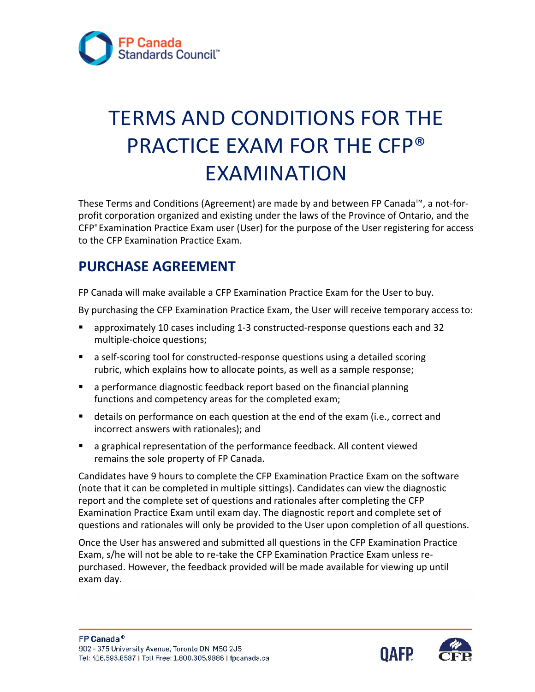

# TERMS AND CONDITIONS FOR THE PRACTICE EXAM FOR THE CFP® EXAMINATION

These Terms and Conditions (Agreement) are made by and between FP Canada™, a not-forprofit corporation organized and existing under the laws of the Province of Ontario, and the CFP® Examination Practice Exam user (User) for the purpose of the User registering for access to the CFP Examination Practice Exam.

#### **PURCHASE AGREEMENT**

FP Canada will make available a CFP Examination Practice Exam for the User to buy.

By purchasing the CFP Examination Practice Exam, the User will receive temporary access to:

- approximately 10 cases including 1-3 constructed-response questions each and 32 multiple-choice questions;
- a self-scoring tool for constructed-response questions using a detailed scoring rubric, which explains how to allocate points, as well as a sample response;
- a performance diagnostic feedback report based on the financial planning functions and competency areas for the completed exam;
- **EXECT** details on performance on each question at the end of the exam (i.e., correct and incorrect answers with rationales); and
- a graphical representation of the performance feedback. All content viewed remains the sole property of FP Canada.

 Examination Practice Exam until exam day. The diagnostic report and complete set of Candidates have 9 hours to complete the CFP Examination Practice Exam on the software (note that it can be completed in multiple sittings). Candidates can view the diagnostic report and the complete set of questions and rationales after completing the CFP questions and rationales will only be provided to the User upon completion of all questions.

Once the User has answered and submitted all questions in the CFP Examination Practice Exam, s/he will not be able to re-take the CFP Examination Practice Exam unless repurchased. However, the feedback provided will be made available for viewing up until exam day.

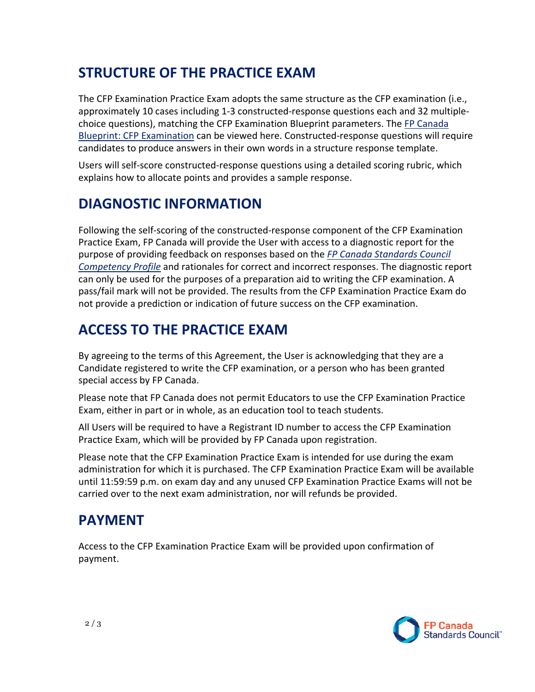#### **STRUCTURE OF THE PRACTICE EXAM**

The CFP Examination Practice Exam adopts the same structure as the CFP examination (i.e., approximately 10 cases including 1-3 constructed-response questions each and 32 multiplechoice questions), matching the CFP Examination Blueprint parameters. The [FP Canada](https://fpcanada.ca/docs/default-source/standards/blueprint-cfp-examination.pdf)  [Blueprint: CFP Examination c](https://fpcanada.ca/docs/default-source/standards/blueprint-cfp-examination.pdf)an be viewed here. Constructed-response questions will require candidates to produce answers in their own words in a structure response template.

Users will self-score constructed-response questions using a detailed scoring rubric, which explains how to allocate points and provides a sample response.

#### **DIAGNOSTIC INFORMATION**

Following the self-scoring of the constructed-response component of the CFP Examination Practice Exam, FP Canada will provide the User with access to a diagnostic report for the purpose of providing feedback on responses based on the *[FP Canada Standards Council](https://www.fpcanada.ca/docs/default-source/standards/fp-canada-standards-council-competency-profile.pdf)  [Competency Profile](https://www.fpcanada.ca/docs/default-source/standards/fp-canada-standards-council-competency-profile.pdf)* and rationales for correct and incorrect responses. The diagnostic report can only be used for the purposes of a preparation aid to writing the CFP examination. A pass/fail mark will not be provided. The results from the CFP Examination Practice Exam do not provide a prediction or indication of future success on the CFP examination.

#### **ACCESS TO THE PRACTICE EXAM**

By agreeing to the terms of this Agreement, the User is acknowledging that they are a Candidate registered to write the CFP examination, or a person who has been granted special access by FP Canada.

Please note that FP Canada does not permit Educators to use the CFP Examination Practice Exam, either in part or in whole, as an education tool to teach students.

All Users will be required to have a Registrant ID number to access the CFP Examination Practice Exam, which will be provided by FP Canada upon registration.

Please note that the CFP Examination Practice Exam is intended for use during the exam administration for which it is purchased. The CFP Examination Practice Exam will be available until 11:59:59 p.m. on exam day and any unused CFP Examination Practice Exams will not be carried over to the next exam administration, nor will refunds be provided.

#### **PAYMENT**

Access to the CFP Examination Practice Exam will be provided upon confirmation of payment.